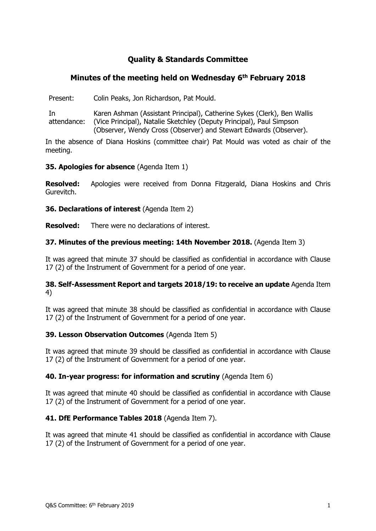# **Quality & Standards Committee**

## **Minutes of the meeting held on Wednesday 6 th February 2018**

Present: Colin Peaks, Jon Richardson, Pat Mould.

In attendance: Karen Ashman (Assistant Principal), Catherine Sykes (Clerk), Ben Wallis (Vice Principal), Natalie Sketchley (Deputy Principal), Paul Simpson (Observer, Wendy Cross (Observer) and Stewart Edwards (Observer).

In the absence of Diana Hoskins (committee chair) Pat Mould was voted as chair of the meeting.

**35. Apologies for absence** (Agenda Item 1)

**Resolved:** Apologies were received from Donna Fitzgerald, Diana Hoskins and Chris Gurevitch.

**36. Declarations of interest** (Agenda Item 2)

**Resolved:** There were no declarations of interest.

## **37. Minutes of the previous meeting: 14th November 2018.** (Agenda Item 3)

It was agreed that minute 37 should be classified as confidential in accordance with Clause 17 (2) of the Instrument of Government for a period of one year.

## **38. Self-Assessment Report and targets 2018/19: to receive an update** Agenda Item 4)

It was agreed that minute 38 should be classified as confidential in accordance with Clause 17 (2) of the Instrument of Government for a period of one year.

## **39. Lesson Observation Outcomes** (Agenda Item 5)

It was agreed that minute 39 should be classified as confidential in accordance with Clause 17 (2) of the Instrument of Government for a period of one year.

## **40. In-year progress: for information and scrutiny** (Agenda Item 6)

It was agreed that minute 40 should be classified as confidential in accordance with Clause 17 (2) of the Instrument of Government for a period of one year.

## **41. DfE Performance Tables 2018** (Agenda Item 7).

It was agreed that minute 41 should be classified as confidential in accordance with Clause 17 (2) of the Instrument of Government for a period of one year.